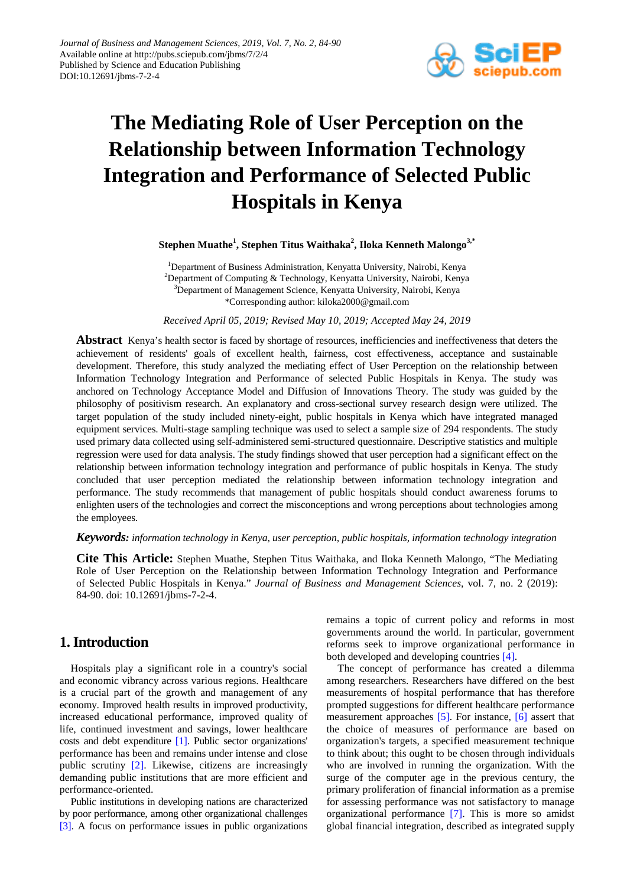

# **The Mediating Role of User Perception on the Relationship between Information Technology Integration and Performance of Selected Public Hospitals in Kenya**

## **Stephen Muathe<sup>1</sup> , Stephen Titus Waithaka<sup>2</sup> , Iloka Kenneth Malongo3,\***

<sup>1</sup>Department of Business Administration, Kenyatta University, Nairobi, Kenya <sup>2</sup>Department of Computing & Technology, Kenyatta University, Nairobi, Kenya 3 Department of Management Science, Kenyatta University, Nairobi, Kenya \*Corresponding author: kiloka2000@gmail.com

*Received April 05, 2019; Revised May 10, 2019; Accepted May 24, 2019*

Abstract Kenya's health sector is faced by shortage of resources, inefficiencies and ineffectiveness that deters the achievement of residents' goals of excellent health, fairness, cost effectiveness, acceptance and sustainable development. Therefore, this study analyzed the mediating effect of User Perception on the relationship between Information Technology Integration and Performance of selected Public Hospitals in Kenya. The study was anchored on Technology Acceptance Model and Diffusion of Innovations Theory. The study was guided by the philosophy of positivism research. An explanatory and cross-sectional survey research design were utilized. The target population of the study included ninety-eight, public hospitals in Kenya which have integrated managed equipment services. Multi-stage sampling technique was used to select a sample size of 294 respondents. The study used primary data collected using self-administered semi-structured questionnaire. Descriptive statistics and multiple regression were used for data analysis. The study findings showed that user perception had a significant effect on the relationship between information technology integration and performance of public hospitals in Kenya. The study concluded that user perception mediated the relationship between information technology integration and performance. The study recommends that management of public hospitals should conduct awareness forums to enlighten users of the technologies and correct the misconceptions and wrong perceptions about technologies among the employees.

### *Keywords: information technology in Kenya, user perception, public hospitals, information technology integration*

**Cite This Article:** Stephen Muathe, Stephen Titus Waithaka, and Iloka Kenneth Malongo, "The Mediating Role of User Perception on the Relationship between Information Technology Integration and Performance of Selected Public Hospitals in Kenya." *Journal of Business and Management Sciences*, vol. 7, no. 2 (2019): 84-90. doi: 10.12691/jbms-7-2-4.

# **1. Introduction**

Hospitals play a significant role in a country's social and economic vibrancy across various regions. Healthcare is a crucial part of the growth and management of any economy. Improved health results in improved productivity, increased educational performance, improved quality of life, continued investment and savings, lower healthcare costs and debt expenditure [\[1\].](#page-5-0) Public sector organizations' performance has been and remains under intense and close public scrutiny [\[2\].](#page-6-0) Likewise, citizens are increasingly demanding public institutions that are more efficient and performance-oriented.

Public institutions in developing nations are characterized by poor performance, among other organizational challenges [\[3\].](#page-6-1) A focus on performance issues in public organizations remains a topic of current policy and reforms in most governments around the world. In particular, government reforms seek to improve organizational performance in both developed and developing countries [\[4\].](#page-6-2)

The concept of performance has created a dilemma among researchers. Researchers have differed on the best measurements of hospital performance that has therefore prompted suggestions for different healthcare performance measurement approaches [\[5\].](#page-6-3) For instance, [\[6\]](#page-6-4) assert that the choice of measures of performance are based on organization's targets, a specified measurement technique to think about; this ought to be chosen through individuals who are involved in running the organization. With the surge of the computer age in the previous century, the primary proliferation of financial information as a premise for assessing performance was not satisfactory to manage organizational performance [\[7\].](#page-6-5) This is more so amidst global financial integration, described as integrated supply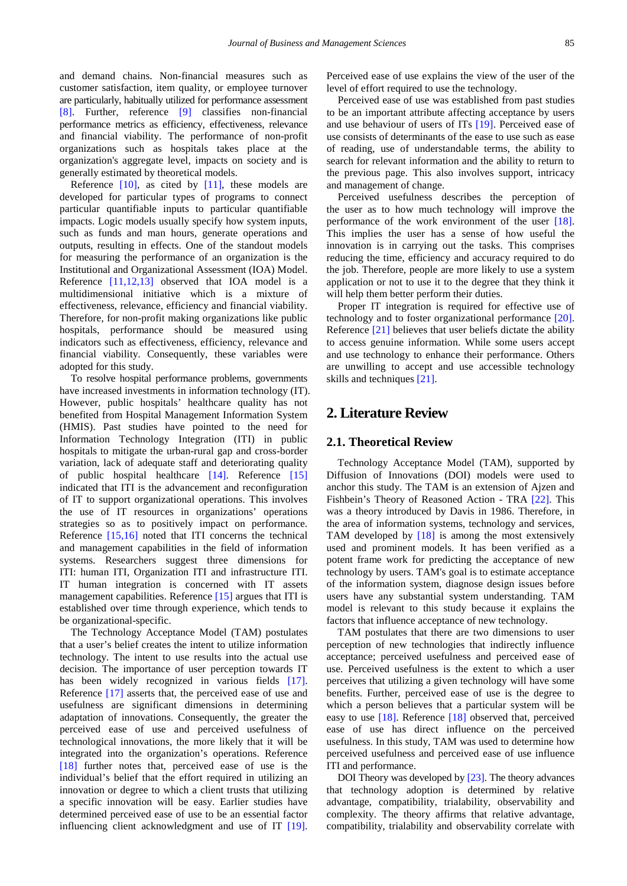and demand chains. Non-financial measures such as customer satisfaction, item quality, or employee turnover are particularly, habitually utilized for performance assessment [\[8\].](#page-6-6) Further, reference [\[9\]](#page-6-7) classifies non-financial performance metrics as efficiency, effectiveness, relevance and financial viability. The performance of non-profit organizations such as hospitals takes place at the organization's aggregate level, impacts on society and is generally estimated by theoretical models.

Reference  $[10]$ , as cited by  $[11]$ , these models are developed for particular types of programs to connect particular quantifiable inputs to particular quantifiable impacts. Logic models usually specify how system inputs, such as funds and man hours, generate operations and outputs, resulting in effects. One of the standout models for measuring the performance of an organization is the Institutional and Organizational Assessment (IOA) Model. Reference [\[11,12,13\]](#page-6-9) observed that IOA model is a multidimensional initiative which is a mixture of effectiveness, relevance, efficiency and financial viability. Therefore, for non-profit making organizations like public hospitals, performance should be measured using indicators such as effectiveness, efficiency, relevance and financial viability. Consequently, these variables were adopted for this study.

To resolve hospital performance problems, governments have increased investments in information technology (IT). However, public hospitals' healthcare quality has not benefited from Hospital Management Information System (HMIS). Past studies have pointed to the need for Information Technology Integration (ITI) in public hospitals to mitigate the urban-rural gap and cross-border variation, lack of adequate staff and deteriorating quality of public hospital healthcare [\[14\].](#page-6-10) Reference [\[15\]](#page-6-11) indicated that ITI is the advancement and reconfiguration of IT to support organizational operations. This involves the use of IT resources in organizations' operations strategies so as to positively impact on performance. Reference [\[15,16\]](#page-6-11) noted that ITI concerns the technical and management capabilities in the field of information systems. Researchers suggest three dimensions for ITI: human ITI, Organization ITI and infrastructure ITI. IT human integration is concerned with IT assets management capabilities. Reference [\[15\]](#page-6-11) argues that ITI is established over time through experience, which tends to be organizational-specific.

The Technology Acceptance Model (TAM) postulates that a user's belief creates the intent to utilize information technology. The intent to use results into the actual use decision. The importance of user perception towards IT has been widely recognized in various fields [\[17\].](#page-6-12) Reference [\[17\]](#page-6-12) asserts that, the perceived ease of use and usefulness are significant dimensions in determining adaptation of innovations. Consequently, the greater the perceived ease of use and perceived usefulness of technological innovations, the more likely that it will be integrated into the organization's operations. Reference [\[18\]](#page-6-13) further notes that, perceived ease of use is the individual's belief that the effort required in utilizing an innovation or degree to which a client trusts that utilizing a specific innovation will be easy. Earlier studies have determined perceived ease of use to be an essential factor influencing client acknowledgment and use of IT [\[19\].](#page-6-14)

Perceived ease of use explains the view of the user of the level of effort required to use the technology.

Perceived ease of use was established from past studies to be an important attribute affecting acceptance by users and use behaviour of users of ITs [\[19\].](#page-6-14) Perceived ease of use consists of determinants of the ease to use such as ease of reading, use of understandable terms, the ability to search for relevant information and the ability to return to the previous page. This also involves support, intricacy and management of change.

Perceived usefulness describes the perception of the user as to how much technology will improve the performance of the work environment of the user [\[18\].](#page-6-13) This implies the user has a sense of how useful the innovation is in carrying out the tasks. This comprises reducing the time, efficiency and accuracy required to do the job. Therefore, people are more likely to use a system application or not to use it to the degree that they think it will help them better perform their duties.

Proper IT integration is required for effective use of technology and to foster organizational performance [\[20\].](#page-6-15) Reference [\[21\]](#page-6-16) believes that user beliefs dictate the ability to access genuine information. While some users accept and use technology to enhance their performance. Others are unwilling to accept and use accessible technology skills and techniques [\[21\].](#page-6-16)

## **2. Literature Review**

#### **2.1. Theoretical Review**

Technology Acceptance Model (TAM), supported by Diffusion of Innovations (DOI) models were used to anchor this study. The TAM is an extension of Ajzen and Fishbein's Theory of Reasoned Action - TRA [\[22\].](#page-6-17) This was a theory introduced by Davis in 1986. Therefore, in the area of information systems, technology and services, TAM developed by [\[18\]](#page-6-13) is among the most extensively used and prominent models. It has been verified as a potent frame work for predicting the acceptance of new technology by users. TAM's goal is to estimate acceptance of the information system, diagnose design issues before users have any substantial system understanding. TAM model is relevant to this study because it explains the factors that influence acceptance of new technology.

TAM postulates that there are two dimensions to user perception of new technologies that indirectly influence acceptance; perceived usefulness and perceived ease of use. Perceived usefulness is the extent to which a user perceives that utilizing a given technology will have some benefits. Further, perceived ease of use is the degree to which a person believes that a particular system will be easy to use [\[18\].](#page-6-13) Reference [\[18\]](#page-6-13) observed that, perceived ease of use has direct influence on the perceived usefulness. In this study, TAM was used to determine how perceived usefulness and perceived ease of use influence ITI and performance.

DOI Theory was developed by [\[23\].](#page-6-18) The theory advances that technology adoption is determined by relative advantage, compatibility, trialability, observability and complexity. The theory affirms that relative advantage, compatibility, trialability and observability correlate with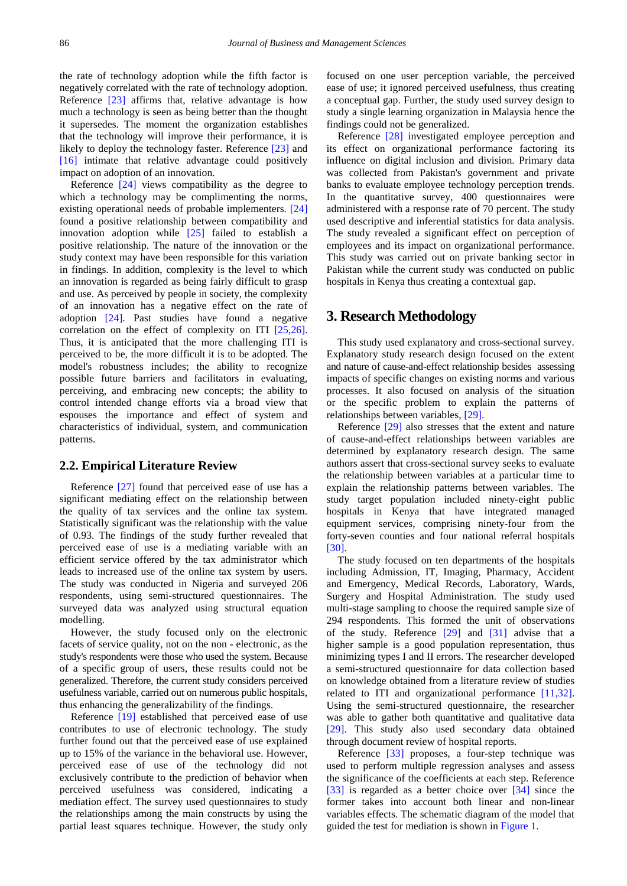the rate of technology adoption while the fifth factor is negatively correlated with the rate of technology adoption. Reference [\[23\]](#page-6-18) affirms that, relative advantage is how much a technology is seen as being better than the thought it supersedes. The moment the organization establishes that the technology will improve their performance, it is likely to deploy the technology faster. Reference [\[23\]](#page-6-18) and [\[16\]](#page-6-19) intimate that relative advantage could positively impact on adoption of an innovation.

Reference [\[24\]](#page-6-20) views compatibility as the degree to which a technology may be complimenting the norms, existing operational needs of probable implementers. [\[24\]](#page-6-20) found a positive relationship between compatibility and innovation adoption while [\[25\]](#page-6-21) failed to establish a positive relationship. The nature of the innovation or the study context may have been responsible for this variation in findings. In addition, complexity is the level to which an innovation is regarded as being fairly difficult to grasp and use. As perceived by people in society, the complexity of an innovation has a negative effect on the rate of adoption [\[24\].](#page-6-20) Past studies have found a negative correlation on the effect of complexity on ITI [\[25,26\].](#page-6-21) Thus, it is anticipated that the more challenging ITI is perceived to be, the more difficult it is to be adopted. The model's robustness includes; the ability to recognize possible future barriers and facilitators in evaluating, perceiving, and embracing new concepts; the ability to control intended change efforts via a broad view that espouses the importance and effect of system and characteristics of individual, system, and communication patterns.

#### **2.2. Empirical Literature Review**

Reference [\[27\]](#page-6-22) found that perceived ease of use has a significant mediating effect on the relationship between the quality of tax services and the online tax system. Statistically significant was the relationship with the value of 0.93. The findings of the study further revealed that perceived ease of use is a mediating variable with an efficient service offered by the tax administrator which leads to increased use of the online tax system by users. The study was conducted in Nigeria and surveyed 206 respondents, using semi-structured questionnaires. The surveyed data was analyzed using structural equation modelling.

However, the study focused only on the electronic facets of service quality, not on the non - electronic, as the study's respondents were those who used the system. Because of a specific group of users, these results could not be generalized. Therefore, the current study considers perceived usefulness variable, carried out on numerous public hospitals, thus enhancing the generalizability of the findings.

Reference [\[19\]](#page-6-14) established that perceived ease of use contributes to use of electronic technology. The study further found out that the perceived ease of use explained up to 15% of the variance in the behavioral use. However, perceived ease of use of the technology did not exclusively contribute to the prediction of behavior when perceived usefulness was considered, indicating a mediation effect. The survey used questionnaires to study the relationships among the main constructs by using the partial least squares technique. However, the study only

focused on one user perception variable, the perceived ease of use; it ignored perceived usefulness, thus creating a conceptual gap. Further, the study used survey design to study a single learning organization in Malaysia hence the findings could not be generalized.

Reference [\[28\]](#page-6-23) investigated employee perception and its effect on organizational performance factoring its influence on digital inclusion and division. Primary data was collected from Pakistan's government and private banks to evaluate employee technology perception trends. In the quantitative survey, 400 questionnaires were administered with a response rate of 70 percent. The study used descriptive and inferential statistics for data analysis. The study revealed a significant effect on perception of employees and its impact on organizational performance. This study was carried out on private banking sector in Pakistan while the current study was conducted on public hospitals in Kenya thus creating a contextual gap.

## **3. Research Methodology**

This study used explanatory and cross-sectional survey. Explanatory study research design focused on the extent and nature of cause-and-effect relationship besides assessing impacts of specific changes on existing norms and various processes. It also focused on analysis of the situation or the specific problem to explain the patterns of relationships between variables[, \[29\].](#page-6-24)

Reference [\[29\]](#page-6-24) also stresses that the extent and nature of cause-and-effect relationships between variables are determined by explanatory research design. The same authors assert that cross-sectional survey seeks to evaluate the relationship between variables at a particular time to explain the relationship patterns between variables. The study target population included ninety-eight public hospitals in Kenya that have integrated managed equipment services, comprising ninety-four from the forty-seven counties and four national referral hospitals [\[30\].](#page-6-25)

The study focused on ten departments of the hospitals including Admission, IT, Imaging, Pharmacy, Accident and Emergency, Medical Records, Laboratory, Wards, Surgery and Hospital Administration. The study used multi-stage sampling to choose the required sample size of 294 respondents. This formed the unit of observations of the study. Reference [\[29\]](#page-6-24) and [\[31\]](#page-6-26) advise that a higher sample is a good population representation, thus minimizing types I and II errors. The researcher developed a semi-structured questionnaire for data collection based on knowledge obtained from a literature review of studies related to ITI and organizational performance [\[11,32\].](#page-6-9) Using the semi-structured questionnaire, the researcher was able to gather both quantitative and qualitative data [\[29\].](#page-6-24) This study also used secondary data obtained through document review of hospital reports.

Reference [\[33\]](#page-6-27) proposes, a four-step technique was used to perform multiple regression analyses and assess the significance of the coefficients at each step. Reference [\[33\]](#page-6-27) is regarded as a better choice over [\[34\]](#page-6-28) since the former takes into account both linear and non-linear variables effects. The schematic diagram of the model that guided the test for mediation is shown i[n Figure 1.](#page-3-0)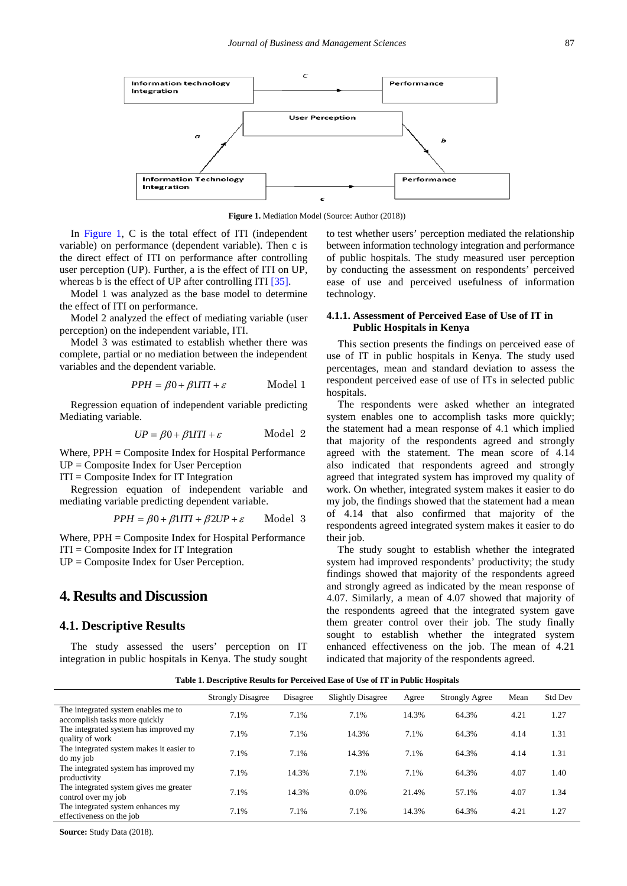<span id="page-3-0"></span>

**Figure 1.** Mediation Model (Source: Author (2018))

In [Figure 1,](#page-3-0) C is the total effect of ITI (independent variable) on performance (dependent variable). Then c is the direct effect of ITI on performance after controlling user perception (UP). Further, a is the effect of ITI on UP, whereas b is the effect of UP after controlling ITI [\[35\].](#page-6-29)

Model 1 was analyzed as the base model to determine the effect of ITI on performance.

Model 2 analyzed the effect of mediating variable (user perception) on the independent variable, ITI.

Model 3 was estimated to establish whether there was complete, partial or no mediation between the independent variables and the dependent variable.

$$
PPH = \beta 0 + \beta 1ITI + \varepsilon \qquad \text{Model 1}
$$

Regression equation of independent variable predicting Mediating variable.

$$
UP = \beta 0 + \beta 1ITI + \varepsilon \qquad \text{Model 2}
$$

Where, PPH = Composite Index for Hospital Performance UP = Composite Index for User Perception

 $ITI = Composite Index for IT Integration$ 

Regression equation of independent variable and mediating variable predicting dependent variable.

$$
PPH = \beta 0 + \beta 1ITI + \beta 2UP + \varepsilon \qquad \text{Model 3}
$$

Where, PPH = Composite Index for Hospital Performance ITI = Composite Index for IT Integration

UP = Composite Index for User Perception.

## **4. Results and Discussion**

#### **4.1. Descriptive Results**

The study assessed the users' perception on IT integration in public hospitals in Kenya. The study sought to test whether users' perception mediated the relationship between information technology integration and performance of public hospitals. The study measured user perception by conducting the assessment on respondents' perceived ease of use and perceived usefulness of information technology.

#### **4.1.1. Assessment of Perceived Ease of Use of IT in Public Hospitals in Kenya**

This section presents the findings on perceived ease of use of IT in public hospitals in Kenya. The study used percentages, mean and standard deviation to assess the respondent perceived ease of use of ITs in selected public hospitals.

The respondents were asked whether an integrated system enables one to accomplish tasks more quickly; the statement had a mean response of 4.1 which implied that majority of the respondents agreed and strongly agreed with the statement. The mean score of 4.14 also indicated that respondents agreed and strongly agreed that integrated system has improved my quality of work. On whether, integrated system makes it easier to do my job, the findings showed that the statement had a mean of 4.14 that also confirmed that majority of the respondents agreed integrated system makes it easier to do their job.

The study sought to establish whether the integrated system had improved respondents' productivity; the study findings showed that majority of the respondents agreed and strongly agreed as indicated by the mean response of 4.07. Similarly, a mean of 4.07 showed that majority of the respondents agreed that the integrated system gave them greater control over their job. The study finally sought to establish whether the integrated system enhanced effectiveness on the job. The mean of 4.21 indicated that majority of the respondents agreed.

**Table 1. Descriptive Results for Perceived Ease of Use of IT in Public Hospitals**

|                                                                      | <b>Strongly Disagree</b> | Disagree | <b>Slightly Disagree</b> | Agree | <b>Strongly Agree</b> | Mean | <b>Std Dev</b> |
|----------------------------------------------------------------------|--------------------------|----------|--------------------------|-------|-----------------------|------|----------------|
| The integrated system enables me to<br>accomplish tasks more quickly | 7.1%                     | 7.1%     | 7.1%                     | 14.3% | 64.3%                 | 4.21 | 1.27           |
| The integrated system has improved my<br>quality of work             | 7.1%                     | 7.1%     | 14.3%                    | 7.1%  | 64.3%                 | 4.14 | 1.31           |
| The integrated system makes it easier to<br>do my job                | 7.1%                     | 7.1%     | 14.3%                    | 7.1%  | 64.3%                 | 4.14 | 1.31           |
| The integrated system has improved my<br>productivity                | 7.1%                     | 14.3%    | 7.1%                     | 7.1%  | 64.3%                 | 4.07 | 1.40           |
| The integrated system gives me greater<br>control over my job        | 7.1%                     | 14.3%    | $0.0\%$                  | 21.4% | 57.1%                 | 4.07 | 1.34           |
| The integrated system enhances my<br>effectiveness on the job        | 7.1%                     | 7.1%     | 7.1%                     | 14.3% | 64.3%                 | 4.21 | 1.27           |

**Source:** Study Data (2018).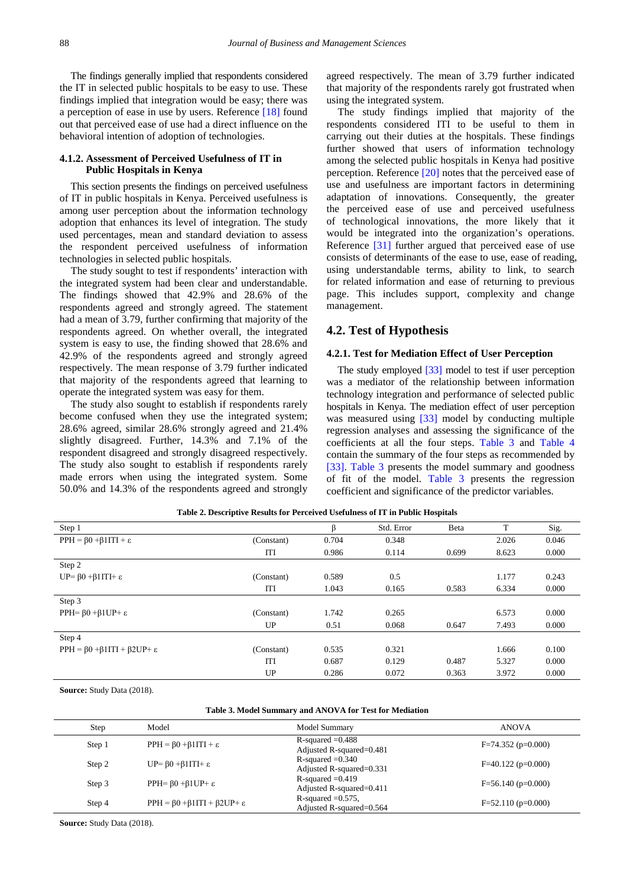The findings generally implied that respondents considered the IT in selected public hospitals to be easy to use. These findings implied that integration would be easy; there was a perception of ease in use by users. Reference [\[18\]](#page-6-13) found out that perceived ease of use had a direct influence on the behavioral intention of adoption of technologies.

#### **4.1.2. Assessment of Perceived Usefulness of IT in Public Hospitals in Kenya**

This section presents the findings on perceived usefulness of IT in public hospitals in Kenya. Perceived usefulness is among user perception about the information technology adoption that enhances its level of integration. The study used percentages, mean and standard deviation to assess the respondent perceived usefulness of information technologies in selected public hospitals.

The study sought to test if respondents' interaction with the integrated system had been clear and understandable. The findings showed that 42.9% and 28.6% of the respondents agreed and strongly agreed. The statement had a mean of 3.79, further confirming that majority of the respondents agreed. On whether overall, the integrated system is easy to use, the finding showed that 28.6% and 42.9% of the respondents agreed and strongly agreed respectively. The mean response of 3.79 further indicated that majority of the respondents agreed that learning to operate the integrated system was easy for them.

The study also sought to establish if respondents rarely become confused when they use the integrated system; 28.6% agreed, similar 28.6% strongly agreed and 21.4% slightly disagreed. Further, 14.3% and 7.1% of the respondent disagreed and strongly disagreed respectively. The study also sought to establish if respondents rarely made errors when using the integrated system. Some 50.0% and 14.3% of the respondents agreed and strongly agreed respectively. The mean of 3.79 further indicated that majority of the respondents rarely got frustrated when using the integrated system.

The study findings implied that majority of the respondents considered ITI to be useful to them in carrying out their duties at the hospitals. These findings further showed that users of information technology among the selected public hospitals in Kenya had positive perception. Reference [\[20\]](#page-6-15) notes that the perceived ease of use and usefulness are important factors in determining adaptation of innovations. Consequently, the greater the perceived ease of use and perceived usefulness of technological innovations, the more likely that it would be integrated into the organization's operations. Reference [\[31\]](#page-6-26) further argued that perceived ease of use consists of determinants of the ease to use, ease of reading, using understandable terms, ability to link, to search for related information and ease of returning to previous page. This includes support, complexity and change management.

#### **4.2. Test of Hypothesis**

#### **4.2.1. Test for Mediation Effect of User Perception**

The study employed [\[33\]](#page-6-27) model to test if user perception was a mediator of the relationship between information technology integration and performance of selected public hospitals in Kenya. The mediation effect of user perception was measured using [\[33\]](#page-6-27) model by conducting multiple regression analyses and assessing the significance of the coefficients at all the four steps. [Table 3](#page-4-0) and [Table 4](#page-5-1) contain the summary of the four steps as recommended by [\[33\].](#page-6-27) [Table 3](#page-4-0) presents the model summary and goodness of fit of the model. [Table 3](#page-4-0) presents the regression coefficient and significance of the predictor variables.

| Step 1                                                |            |       | Std. Error | Beta  | T     | Sig.  |
|-------------------------------------------------------|------------|-------|------------|-------|-------|-------|
| $PPH = \beta 0 + \beta 1 ITI + \varepsilon$           | (Constant) | 0.704 | 0.348      |       | 2.026 | 0.046 |
|                                                       | <b>ITI</b> | 0.986 | 0.114      | 0.699 | 8.623 | 0.000 |
| Step 2                                                |            |       |            |       |       |       |
| UP= $\beta$ 0+ $\beta$ 1ITI+ $\epsilon$               | (Constant) | 0.589 | 0.5        |       | 1.177 | 0.243 |
|                                                       | ITI        | 1.043 | 0.165      | 0.583 | 6.334 | 0.000 |
| Step 3                                                |            |       |            |       |       |       |
| PPH= $\beta$ 0 + $\beta$ 1UP+ $\epsilon$              | (Constant) | 1.742 | 0.265      |       | 6.573 | 0.000 |
|                                                       | UP         | 0.51  | 0.068      | 0.647 | 7.493 | 0.000 |
| Step 4                                                |            |       |            |       |       |       |
| $PPH = \beta 0 + \beta 1 ITI + \beta 2 UP + \epsilon$ | (Constant) | 0.535 | 0.321      |       | 1.666 | 0.100 |
|                                                       | <b>ITI</b> | 0.687 | 0.129      | 0.487 | 5.327 | 0.000 |
|                                                       | UP         | 0.286 | 0.072      | 0.363 | 3.972 | 0.000 |

**Table 2. Descriptive Results for Perceived Usefulness of IT in Public Hospitals**

**Source:** Study Data (2018).

| Table 3. Model Summary and ANOVA for Test for Mediation |  |  |
|---------------------------------------------------------|--|--|
|---------------------------------------------------------|--|--|

<span id="page-4-0"></span>

| Step   | Model                                                    | Model Summary                                     | <b>ANOVA</b>         |
|--------|----------------------------------------------------------|---------------------------------------------------|----------------------|
| Step 1 | $PPH = \beta 0 + \beta 1 ITI + \varepsilon$              | R-squared $=0.488$<br>Adjusted R-squared= $0.481$ | $F=74.352$ (p=0.000) |
| Step 2 | $UP = \beta 0 + \beta 1 ITI + \epsilon$                  | R-squared $=0.340$<br>Adjusted R-squared=0.331    | $F=40.122$ (p=0.000) |
| Step 3 | PPH= $\beta$ 0 + $\beta$ 1 UP+ $\epsilon$                | R-squared $=0.419$<br>Adjusted R-squared=0.411    | $F=56.140$ (p=0.000) |
| Step 4 | $PPH = \beta 0 + \beta 1 ITI + \beta 2 UP + \varepsilon$ | R-squared $=0.575$ ,<br>Adjusted R-squared=0.564  | $F=52.110$ (p=0.000) |

**Source:** Study Data (2018).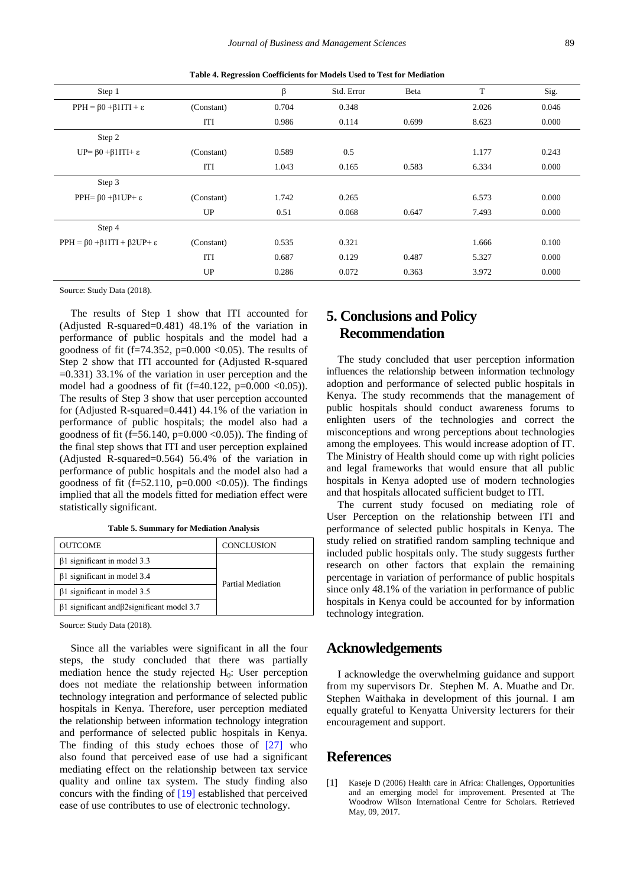<span id="page-5-1"></span>

| Step 1                                                |            | β     | Std. Error | Beta  | $\mathbf T$ | Sig.  |
|-------------------------------------------------------|------------|-------|------------|-------|-------------|-------|
| $PPH = \beta 0 + \beta 1 ITI + \varepsilon$           | (Constant) | 0.704 | 0.348      |       | 2.026       | 0.046 |
|                                                       | ITI        | 0.986 | 0.114      | 0.699 | 8.623       | 0.000 |
| Step 2                                                |            |       |            |       |             |       |
| UP= $\beta$ 0+ $\beta$ 1ITI+ $\epsilon$               | (Constant) | 0.589 | 0.5        |       | 1.177       | 0.243 |
|                                                       | ITI        | 1.043 | 0.165      | 0.583 | 6.334       | 0.000 |
| Step 3                                                |            |       |            |       |             |       |
| PPH= $\beta$ 0 + $\beta$ 1UP+ $\epsilon$              | (Constant) | 1.742 | 0.265      |       | 6.573       | 0.000 |
|                                                       | UP         | 0.51  | 0.068      | 0.647 | 7.493       | 0.000 |
| Step 4                                                |            |       |            |       |             |       |
| $PPH = \beta 0 + \beta 1 ITI + \beta 2 UP + \epsilon$ | (Constant) | 0.535 | 0.321      |       | 1.666       | 0.100 |
|                                                       | ITI        | 0.687 | 0.129      | 0.487 | 5.327       | 0.000 |
|                                                       | UP         | 0.286 | 0.072      | 0.363 | 3.972       | 0.000 |

**Table 4. Regression Coefficients for Models Used to Test for Mediation**

Source: Study Data (2018).

The results of Step 1 show that ITI accounted for (Adjusted R-squared=0.481) 48.1% of the variation in performance of public hospitals and the model had a goodness of fit (f=74.352, p=0.000 <0.05). The results of Step 2 show that ITI accounted for (Adjusted R-squared  $=0.331$ ) 33.1% of the variation in user perception and the model had a goodness of fit  $(f=40.122, p=0.000 < 0.05)$ . The results of Step 3 show that user perception accounted for (Adjusted R-squared=0.441) 44.1% of the variation in performance of public hospitals; the model also had a goodness of fit (f=56.140, p= $0.000 \le 0.05$ )). The finding of the final step shows that ITI and user perception explained (Adjusted R-squared=0.564) 56.4% of the variation in performance of public hospitals and the model also had a goodness of fit (f=52.110, p=0.000 <0.05)). The findings implied that all the models fitted for mediation effect were statistically significant.

**Table 5. Summary for Mediation Analysis**

| <b>OUTCOME</b>                                            | <b>CONCLUSION</b> |  |
|-----------------------------------------------------------|-------------------|--|
| $\beta$ 1 significant in model 3.3                        |                   |  |
| $\beta$ 1 significant in model 3.4                        | Partial Mediation |  |
| $\beta$ 1 significant in model 3.5                        |                   |  |
| $\beta$ 1 significant and $\beta$ 2 significant model 3.7 |                   |  |
|                                                           |                   |  |

Source: Study Data (2018).

Since all the variables were significant in all the four steps, the study concluded that there was partially mediation hence the study rejected  $H_0$ : User perception does not mediate the relationship between information technology integration and performance of selected public hospitals in Kenya. Therefore, user perception mediated the relationship between information technology integration and performance of selected public hospitals in Kenya. The finding of this study echoes those of [\[27\]](#page-6-22) who also found that perceived ease of use had a significant mediating effect on the relationship between tax service quality and online tax system. The study finding also concurs with the finding of [\[19\]](#page-6-14) established that perceived ease of use contributes to use of electronic technology.

# **5. Conclusions and Policy Recommendation**

The study concluded that user perception information influences the relationship between information technology adoption and performance of selected public hospitals in Kenya. The study recommends that the management of public hospitals should conduct awareness forums to enlighten users of the technologies and correct the misconceptions and wrong perceptions about technologies among the employees. This would increase adoption of IT. The Ministry of Health should come up with right policies and legal frameworks that would ensure that all public hospitals in Kenya adopted use of modern technologies and that hospitals allocated sufficient budget to ITI.

The current study focused on mediating role of User Perception on the relationship between ITI and performance of selected public hospitals in Kenya. The study relied on stratified random sampling technique and included public hospitals only. The study suggests further research on other factors that explain the remaining percentage in variation of performance of public hospitals since only 48.1% of the variation in performance of public hospitals in Kenya could be accounted for by information technology integration.

## **Acknowledgements**

I acknowledge the overwhelming guidance and support from my supervisors Dr. Stephen M. A. Muathe and Dr. Stephen Waithaka in development of this journal. I am equally grateful to Kenyatta University lecturers for their encouragement and support.

# **References**

<span id="page-5-0"></span>[1] Kaseje D (2006) Health care in Africa: Challenges, Opportunities and an emerging model for improvement. Presented at The Woodrow Wilson International Centre for Scholars. Retrieved May, 09, 2017.